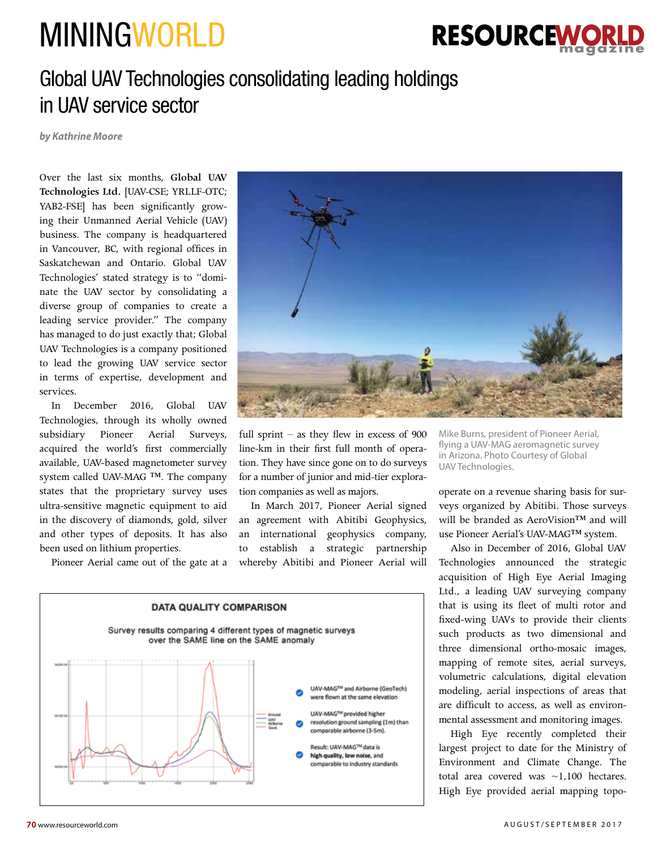## MININGWORLD



## Global UAV Technologies consolidating leading holdings in UAV service sector

*by Kathrine Moore*

Over the last six months, **Global UAV Technologies Ltd.** [UAV-CSE; YRLLF-OTC; YAB2-FSE] has been significantly growing their Unmanned Aerial Vehicle (UAV) business. The company is headquartered in Vancouver, BC, with regional offices in Saskatchewan and Ontario. Global UAV Technologies' stated strategy is to "dominate the UAV sector by consolidating a diverse group of companies to create a leading service provider." The company has managed to do just exactly that; Global UAV Technologies is a company positioned to lead the growing UAV service sector in terms of expertise, development and services.

In December 2016, Global UAV Technologies, through its wholly owned subsidiary Pioneer Aerial Surveys, acquired the world's first commercially available, UAV-based magnetometer survey system called UAV-MAG ™. The company states that the proprietary survey uses ultra-sensitive magnetic equipment to aid in the discovery of diamonds, gold, silver and other types of deposits. It has also been used on lithium properties.

Pioneer Aerial came out of the gate at a



full sprint – as they flew in excess of  $900$ line-km in their first full month of operation. They have since gone on to do surveys for a number of junior and mid-tier exploration companies as well as majors.

In March 2017, Pioneer Aerial signed an agreement with Abitibi Geophysics, an international geophysics company, to establish a strategic partnership whereby Abitibi and Pioneer Aerial will



Mike Burns, president of Pioneer Aerial, flying a UAV-MAG aeromagnetic survey in Arizona. Photo Courtesy of Global UAV Technologies.

operate on a revenue sharing basis for surveys organized by Abitibi. Those surveys will be branded as AeroVision™ and will use Pioneer Aerial's UAV-MAG™ system.

Also in December of 2016, Global UAV Technologies announced the strategic acquisition of High Eye Aerial Imaging Ltd., a leading UAV surveying company that is using its fleet of multi rotor and fixed-wing UAVs to provide their clients such products as two dimensional and three dimensional ortho-mosaic images, mapping of remote sites, aerial surveys, volumetric calculations, digital elevation modeling, aerial inspections of areas that are difficult to access, as well as environmental assessment and monitoring images.

High Eye recently completed their largest project to date for the Ministry of Environment and Climate Change. The total area covered was ~1,100 hectares. High Eye provided aerial mapping topo-